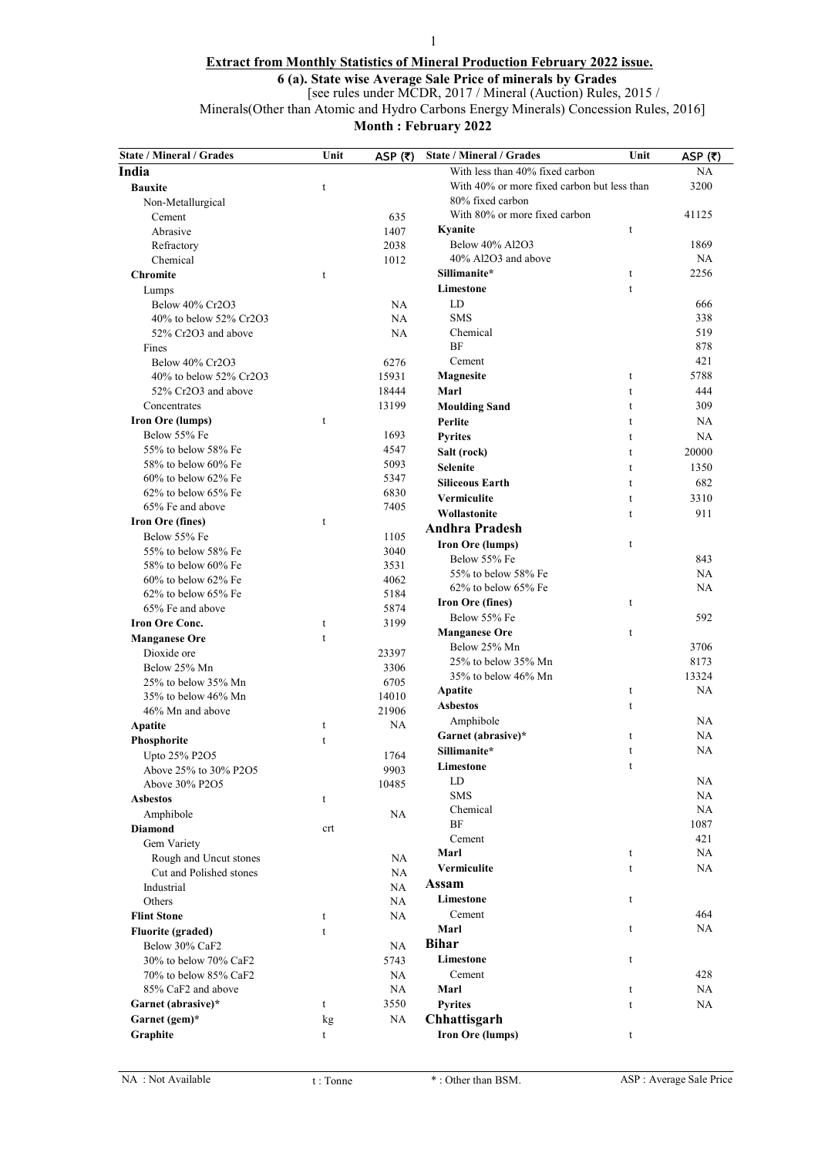# 1 Extract from Monthly Statistics of Mineral Production February 2022 issue.

6 (a). State wise Average Sale Price of minerals by Grades

[see rules under MCDR, 2017 / Mineral (Auction) Rules, 2015 /

Minerals(Other than Atomic and Hydro Carbons Energy Minerals) Concession Rules, 2016]

Month : February 2022

| <b>State / Mineral / Grades</b>            | Unit        | ASP $(5)$     | <b>State / Mineral / Grades</b>             | Unit        | ASP $(5)$ |
|--------------------------------------------|-------------|---------------|---------------------------------------------|-------------|-----------|
| India                                      |             |               | With less than 40% fixed carbon             |             | NA        |
| <b>Bauxite</b>                             | t           |               | With 40% or more fixed carbon but less than |             | 3200      |
| Non-Metallurgical                          |             |               | 80% fixed carbon                            |             |           |
| Cement                                     |             | 635           | With 80% or more fixed carbon               |             | 41125     |
| Abrasive                                   |             | 1407          | Kyanite                                     | t           |           |
| Refractory                                 |             | 2038          | Below 40% Al2O3                             |             | 1869      |
| Chemical                                   |             | 1012          | 40% Al2O3 and above                         |             | NA        |
| <b>Chromite</b>                            | t           |               | Sillimanite*                                | t           | 2256      |
| Lumps                                      |             |               | Limestone                                   | t           |           |
| Below 40% Cr2O3                            |             | NA            | LD                                          |             | 666       |
| 40% to below 52% Cr2O3                     |             | <b>NA</b>     | <b>SMS</b>                                  |             | 338       |
| 52% Cr2O3 and above                        |             | <b>NA</b>     | Chemical                                    |             | 519       |
| Fines                                      |             |               | BF                                          |             | 878       |
| Below 40% Cr2O3                            |             | 6276          | Cement                                      |             | 421       |
| 40% to below 52% Cr2O3                     |             | 15931         | <b>Magnesite</b>                            | t           | 5788      |
| 52% Cr2O3 and above                        |             | 18444         | Marl                                        | t           | 444       |
| Concentrates                               |             | 13199         | <b>Moulding Sand</b>                        | t           | 309       |
| <b>Iron Ore (lumps)</b>                    | t           |               | Perlite                                     | t           | NA        |
| Below 55% Fe                               |             | 1693          | <b>Pyrites</b>                              | t           | <b>NA</b> |
| 55% to below 58% Fe                        |             | 4547          | Salt (rock)                                 | t           | 20000     |
| 58% to below 60% Fe                        |             | 5093          | <b>Selenite</b>                             | t           | 1350      |
| $60\%$ to below $62\%$ Fe                  |             | 5347          | <b>Siliceous Earth</b>                      | t           | 682       |
| 62% to below 65% Fe                        |             | 6830          | Vermiculite                                 | $\mathbf t$ | 3310      |
| 65% Fe and above                           |             | 7405          | Wollastonite                                | t           | 911       |
| Iron Ore (fines)                           | t           |               | <b>Andhra Pradesh</b>                       |             |           |
| Below 55% Fe                               |             | 1105          | Iron Ore (lumps)                            | t           |           |
| 55% to below 58% Fe                        |             | 3040          | Below 55% Fe                                |             | 843       |
| 58% to below 60% Fe                        |             | 3531          | 55% to below 58% Fe                         |             | <b>NA</b> |
| $60\%$ to below $62\%$ Fe                  |             | 4062          | $62\%$ to below $65\%$ Fe                   |             | NA        |
| $62\%$ to below $65\%$ Fe                  |             | 5184          | Iron Ore (fines)                            | t           |           |
| 65% Fe and above                           |             | 5874          | Below 55% Fe                                |             | 592       |
| <b>Iron Ore Conc.</b>                      | t           | 3199          | <b>Manganese Ore</b>                        | t           |           |
| <b>Manganese Ore</b>                       | $\mathbf t$ |               | Below 25% Mn                                |             | 3706      |
| Dioxide ore                                |             | 23397         | 25% to below 35% Mn                         |             | 8173      |
| Below 25% Mn                               |             | 3306          | 35% to below 46% Mn                         |             | 13324     |
| 25% to below 35% Mn<br>35% to below 46% Mn |             | 6705<br>14010 | Apatite                                     | t           | <b>NA</b> |
| 46% Mn and above                           |             | 21906         | <b>Asbestos</b>                             | t           |           |
| <b>Apatite</b>                             | t           | NA            | Amphibole                                   |             | <b>NA</b> |
| Phosphorite                                | t           |               | Garnet (abrasive)*                          | t           | NA        |
|                                            |             | 1764          | Sillimanite*                                | t           | NA        |
| Upto 25% P2O5<br>Above 25% to 30% P2O5     |             | 9903          | Limestone                                   | t           |           |
| Above 30% P2O5                             |             | 10485         | LD                                          |             | NA        |
| <b>Asbestos</b>                            | t           |               | <b>SMS</b>                                  |             | NA        |
| Amphibole                                  |             | NA            | Chemical                                    |             | NA        |
| <b>Diamond</b>                             | crt         |               | BF                                          |             | 1087      |
| Gem Variety                                |             |               | Cement                                      |             | 421       |
| Rough and Uncut stones                     |             | NA            | Marl                                        | t           | NA        |
| Cut and Polished stones                    |             | NA            | Vermiculite                                 | t           | NA        |
| Industrial                                 |             | NA            | Assam                                       |             |           |
| Others                                     |             | NA            | Limestone                                   | t           |           |
| <b>Flint Stone</b>                         | t           | NA            | Cement                                      |             | 464       |
| <b>Fluorite (graded)</b>                   | t           |               | Marl                                        | t           | NA        |
| Below 30% CaF2                             |             | NA            | <b>Bihar</b>                                |             |           |
| 30% to below 70% CaF2                      |             | 5743          | Limestone                                   | t           |           |
| 70% to below 85% CaF2                      |             | NA            | Cement                                      |             | 428       |
| 85% CaF2 and above                         |             | NA            | Marl                                        | t           | NA        |
| Garnet (abrasive)*                         | t           | 3550          | <b>Pyrites</b>                              | t           | NA        |
| Garnet (gem)*                              | kg          | NA            | Chhattisgarh                                |             |           |
| Graphite                                   | t           |               | <b>Iron Ore (lumps)</b>                     | t           |           |
|                                            |             |               |                                             |             |           |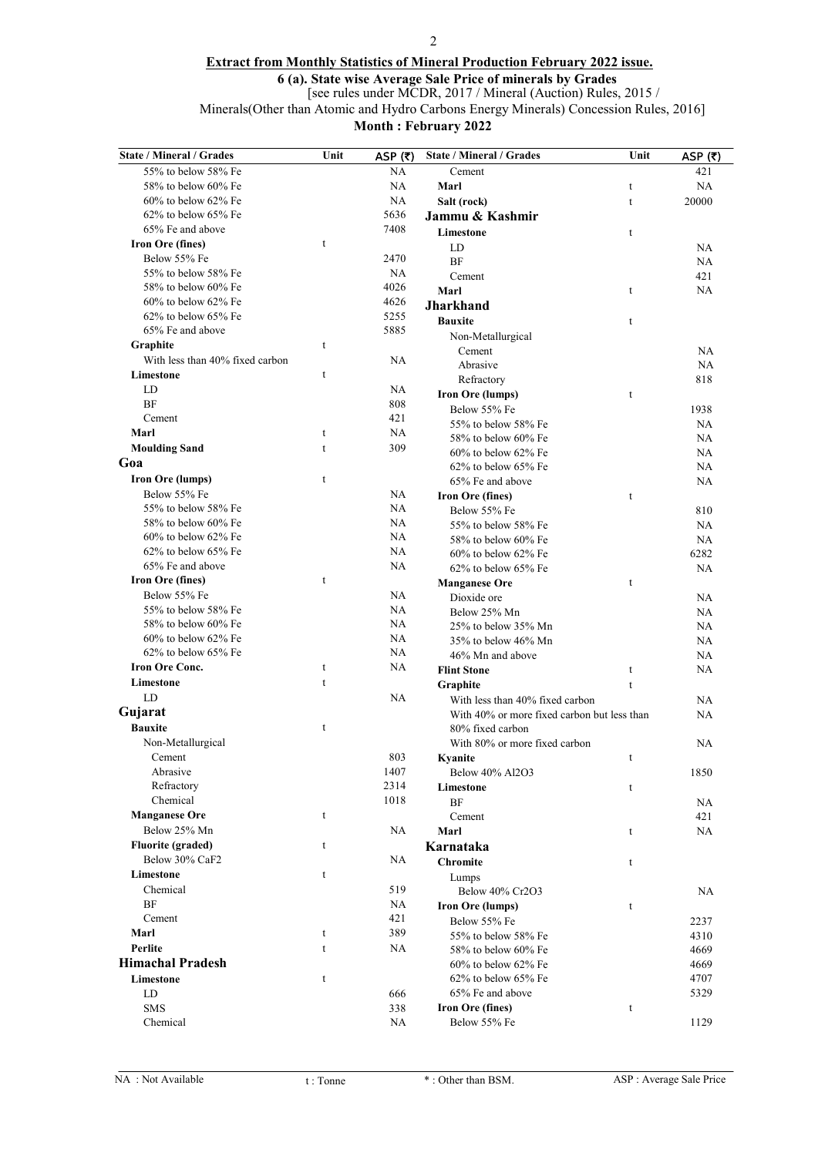### 2

## Extract from Monthly Statistics of Mineral Production February 2022 issue.

6 (a). State wise Average Sale Price of minerals by Grades

[see rules under MCDR, 2017 / Mineral (Auction) Rules, 2015 /

Minerals(Other than Atomic and Hydro Carbons Energy Minerals) Concession Rules, 2016]

Month : February 2022

| <b>State / Mineral / Grades</b>     | Unit        | ASP $(5)$       | State / Mineral / Grades                    | Unit         | ASP $(5)$  |
|-------------------------------------|-------------|-----------------|---------------------------------------------|--------------|------------|
| 55% to below 58% Fe                 |             | NA              | Cement                                      |              | 421        |
| 58% to below 60% Fe                 |             | <b>NA</b>       | Marl                                        | t            | NA         |
| $60\%$ to below $62\%$ Fe           |             | <b>NA</b>       | Salt (rock)                                 | $\mathsf{t}$ | 20000      |
| 62% to below 65% Fe                 |             | 5636            | Jammu & Kashmir                             |              |            |
| 65% Fe and above                    |             | 7408            | Limestone                                   | t            |            |
| <b>Iron Ore (fines)</b>             | t           |                 | LD                                          |              | <b>NA</b>  |
| Below 55% Fe                        |             | 2470            | <b>BF</b>                                   |              | NA         |
| 55% to below 58% Fe                 |             | <b>NA</b>       | Cement                                      |              | 421        |
| 58% to below 60% Fe                 |             | 4026            | Marl                                        | t            | NA         |
| $60\%$ to below $62\%$ Fe           |             | 4626            | <b>Jharkhand</b>                            |              |            |
| $62\%$ to below $65\%$ Fe           |             | 5255            | <b>Bauxite</b>                              | $\mathsf{t}$ |            |
| 65% Fe and above                    |             | 5885            | Non-Metallurgical                           |              |            |
| Graphite                            | t           |                 | Cement                                      |              | <b>NA</b>  |
| With less than 40% fixed carbon     |             | <b>NA</b>       | Abrasive                                    |              | <b>NA</b>  |
| Limestone                           | $\mathsf t$ |                 | Refractory                                  |              | 818        |
| LD                                  |             | <b>NA</b>       | Iron Ore (lumps)                            | t            |            |
| <b>BF</b><br>Cement                 |             | 808<br>421      | Below 55% Fe                                |              | 1938       |
| Marl                                | t           | <b>NA</b>       | 55% to below 58% Fe                         |              | NA         |
|                                     | t           | 309             | 58% to below 60% Fe                         |              | <b>NA</b>  |
| <b>Moulding Sand</b>                |             |                 | $60\%$ to below $62\%$ Fe                   |              | NA         |
| Goa                                 |             |                 | $62\%$ to below $65\%$ Fe                   |              | NA         |
| <b>Iron Ore (lumps)</b>             | t           |                 | 65% Fe and above                            |              | NA         |
| Below 55% Fe<br>55% to below 58% Fe |             | <b>NA</b><br>NA | Iron Ore (fines)                            | t            |            |
| 58% to below 60% Fe                 |             | <b>NA</b>       | Below 55% Fe                                |              | 810        |
| $60\%$ to below $62\%$ Fe           |             | NA              | 55% to below 58% Fe                         |              | NA         |
| $62\%$ to below $65\%$ Fe           |             | <b>NA</b>       | 58% to below 60% Fe                         |              | NA         |
| 65% Fe and above                    |             | <b>NA</b>       | 60% to below 62% Fe<br>62% to below 65% Fe  |              | 6282<br>NA |
| Iron Ore (fines)                    | $\mathbf t$ |                 |                                             | t            |            |
| Below 55% Fe                        |             | NA              | <b>Manganese Ore</b><br>Dioxide ore         |              | NA         |
| 55% to below 58% Fe                 |             | <b>NA</b>       | Below 25% Mn                                |              | NA         |
| 58% to below 60% Fe                 |             | <b>NA</b>       | 25% to below 35% Mn                         |              | NA         |
| 60% to below 62% Fe                 |             | <b>NA</b>       | 35% to below 46% Mn                         |              | NA         |
| $62\%$ to below $65\%$ Fe           |             | <b>NA</b>       | 46% Mn and above                            |              | NA         |
| <b>Iron Ore Conc.</b>               | t           | NA              | <b>Flint Stone</b>                          | t            | NA         |
| Limestone                           | $\mathbf t$ |                 | Graphite                                    | $\mathsf t$  |            |
| LD                                  |             | NA              | With less than 40% fixed carbon             |              | NA         |
| Gujarat                             |             |                 | With 40% or more fixed carbon but less than |              | NA         |
| <b>Bauxite</b>                      | t           |                 | 80% fixed carbon                            |              |            |
| Non-Metallurgical                   |             |                 | With 80% or more fixed carbon               |              | NA         |
| Cement                              |             | 803             | Kvanite                                     | t            |            |
| Abrasive                            |             | 1407            | Below 40% Al2O3                             |              | 1850       |
| Refractory                          |             | 2314            | Limestone                                   | t            |            |
| Chemical                            |             | 1018            | <b>BF</b>                                   |              | NA         |
| <b>Manganese Ore</b>                | t           |                 | Cement                                      |              | 421        |
| Below 25% Mn                        |             | <b>NA</b>       | Marl                                        | t            | NA         |
| <b>Fluorite (graded)</b>            | t           |                 | Karnataka                                   |              |            |
| Below 30% CaF2                      |             | NA              | <b>Chromite</b>                             | t            |            |
| Limestone                           | t           |                 | Lumps                                       |              |            |
| Chemical                            |             | 519             | Below 40% Cr2O3                             |              | NA         |
| BF                                  |             | NA              | <b>Iron Ore (lumps)</b>                     | t            |            |
| Cement                              |             | 421             | Below 55% Fe                                |              | 2237       |
| Marl                                | t           | 389             | 55% to below 58% Fe                         |              | 4310       |
| Perlite                             | t           | NA.             | 58% to below 60% Fe                         |              | 4669       |
| <b>Himachal Pradesh</b>             |             |                 | $60\%$ to below $62\%$ Fe                   |              | 4669       |
| Limestone                           | t           |                 | 62% to below 65% Fe                         |              | 4707       |
| LD                                  |             | 666             | 65% Fe and above                            |              | 5329       |
| <b>SMS</b>                          |             | 338             | <b>Iron Ore (fines)</b>                     | t            |            |
| Chemical                            |             | NA.             | Below 55% Fe                                |              | 1129       |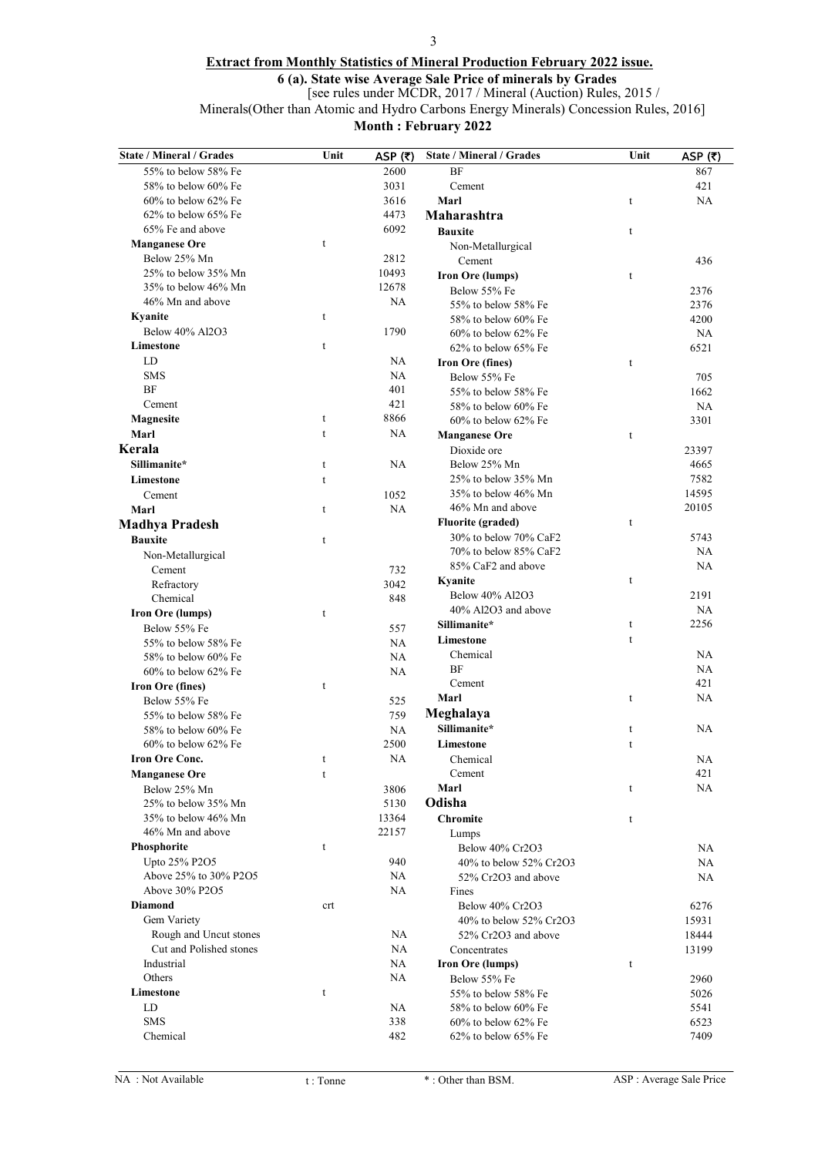### 3

### Extract from Monthly Statistics of Mineral Production February 2022 issue.

6 (a). State wise Average Sale Price of minerals by Grades

[see rules under MCDR, 2017 / Mineral (Auction) Rules, 2015 /

Minerals(Other than Atomic and Hydro Carbons Energy Minerals) Concession Rules, 2016]

Month : February 2022

| <b>State / Mineral / Grades</b> | Unit        | ASP $(5)$ | State / Mineral / Grades  | Unit | ASP (₹)   |
|---------------------------------|-------------|-----------|---------------------------|------|-----------|
| 55% to below 58% Fe             |             | 2600      | BF                        |      | 867       |
| 58% to below 60% Fe             |             | 3031      | Cement                    |      | 421       |
| $60\%$ to below $62\%$ Fe       |             | 3616      | Marl                      | t    | NA        |
| $62\%$ to below $65\%$ Fe       |             | 4473      | Maharashtra               |      |           |
| 65% Fe and above                |             | 6092      | <b>Bauxite</b>            | t    |           |
| <b>Manganese Ore</b>            | $\mathbf t$ |           | Non-Metallurgical         |      |           |
| Below 25% Mn                    |             | 2812      | Cement                    |      | 436       |
| 25% to below 35% Mn             |             | 10493     | Iron Ore (lumps)          | t    |           |
| 35% to below 46% Mn             |             | 12678     | Below 55% Fe              |      | 2376      |
| 46% Mn and above                |             | <b>NA</b> | 55% to below 58% Fe       |      | 2376      |
| Kyanite                         | t           |           | 58% to below 60% Fe       |      | 4200      |
| Below 40% Al2O3                 |             | 1790      | $60\%$ to below $62\%$ Fe |      | <b>NA</b> |
| Limestone                       | t           |           | $62\%$ to below $65\%$ Fe |      | 6521      |
| LD                              |             | <b>NA</b> | Iron Ore (fines)          | t    |           |
| <b>SMS</b>                      |             | NA        | Below 55% Fe              |      | 705       |
| <b>BF</b>                       |             | 401       | 55% to below 58% Fe       |      | 1662      |
| Cement                          |             | 421       | 58% to below 60% Fe       |      | <b>NA</b> |
| Magnesite                       | t           | 8866      | $60\%$ to below $62\%$ Fe |      | 3301      |
| Marl                            | $\mathbf t$ | <b>NA</b> | <b>Manganese Ore</b>      | t    |           |
| Kerala                          |             |           | Dioxide ore               |      | 23397     |
| Sillimanite*                    | t           | <b>NA</b> | Below 25% Mn              |      | 4665      |
| Limestone                       | t           |           | 25% to below 35% Mn       |      | 7582      |
| Cement                          |             | 1052      | 35% to below 46% Mn       |      | 14595     |
| Marl                            | $\mathbf t$ | <b>NA</b> | 46% Mn and above          |      | 20105     |
| <b>Madhya Pradesh</b>           |             |           | <b>Fluorite</b> (graded)  | t    |           |
| <b>Bauxite</b>                  | $\mathbf t$ |           | 30% to below 70% CaF2     |      | 5743      |
| Non-Metallurgical               |             |           | 70% to below 85% CaF2     |      | NA        |
| Cement                          |             | 732       | 85% CaF2 and above        |      | <b>NA</b> |
| Refractory                      |             | 3042      | Kyanite                   | t    |           |
| Chemical                        |             | 848       | Below 40% Al2O3           |      | 2191      |
| <b>Iron Ore (lumps)</b>         | t           |           | 40% Al2O3 and above       |      | NA        |
| Below 55% Fe                    |             | 557       | Sillimanite*              | t    | 2256      |
| 55% to below 58% Fe             |             | <b>NA</b> | Limestone                 | t    |           |
| 58% to below 60% Fe             |             | <b>NA</b> | Chemical                  |      | NA        |
| 60% to below 62% Fe             |             | <b>NA</b> | BF                        |      | NA        |
| Iron Ore (fines)                | t           |           | Cement                    |      | 421       |
| Below 55% Fe                    |             | 525       | Marl                      | t    | NA        |
| 55% to below 58% Fe             |             | 759       | Meghalaya                 |      |           |
| 58% to below 60% Fe             |             | NA        | Sillimanite*              | t    | <b>NA</b> |
| $60\%$ to below $62\%$ Fe       |             | 2500      | Limestone                 | t    |           |
| <b>Iron Ore Conc.</b>           | Ť.          | <b>NA</b> | Chemical                  |      | NA.       |
| <b>Manganese Ore</b>            | t           |           | Cement                    |      | 421       |
| Below 25% Mn                    |             | 3806      | Marl                      | t    | NA.       |
| 25% to below 35% Mn             |             | 5130      | Odisha                    |      |           |
| 35% to below 46% Mn             |             | 13364     | <b>Chromite</b>           | t    |           |
| 46% Mn and above                |             | 22157     | Lumps                     |      |           |
| Phosphorite                     | t           |           | Below 40% Cr2O3           |      | NA        |
| Upto 25% P2O5                   |             | 940       | 40% to below 52% Cr2O3    |      | NA        |
| Above 25% to 30% P2O5           |             | NA        | 52% Cr2O3 and above       |      | NA        |
| Above 30% P2O5                  |             | <b>NA</b> | Fines                     |      |           |
| <b>Diamond</b>                  | crt         |           | Below 40% Cr2O3           |      | 6276      |
| Gem Variety                     |             |           | 40% to below 52% Cr2O3    |      | 15931     |
| Rough and Uncut stones          |             | NA        | 52% Cr2O3 and above       |      | 18444     |
| Cut and Polished stones         |             | NA        | Concentrates              |      | 13199     |
| Industrial                      |             | NA        | <b>Iron Ore (lumps)</b>   | t    |           |
| Others                          |             | NA        | Below 55% Fe              |      | 2960      |
| Limestone                       | t           |           | 55% to below 58% Fe       |      | 5026      |
| LD                              |             | NA        | 58% to below 60% Fe       |      | 5541      |
| <b>SMS</b>                      |             | 338       | 60% to below 62% Fe       |      | 6523      |
| Chemical                        |             | 482       | $62\%$ to below $65\%$ Fe |      | 7409      |